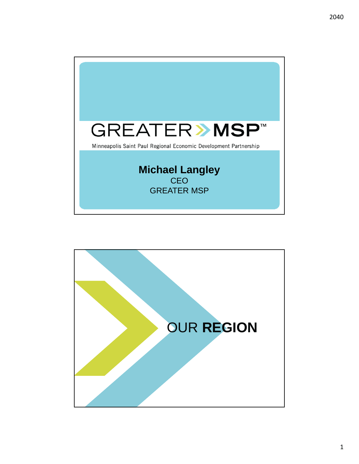

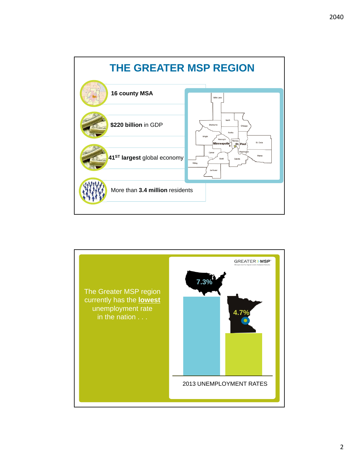

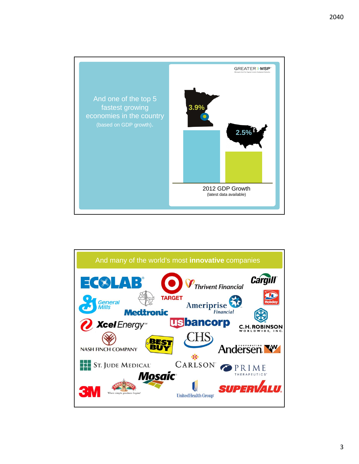

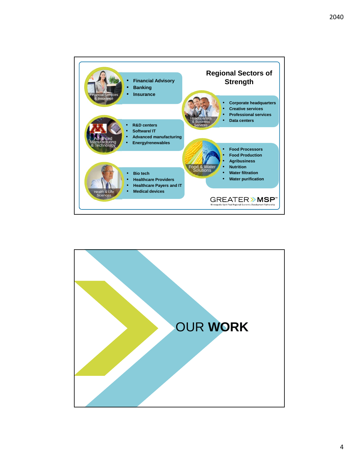

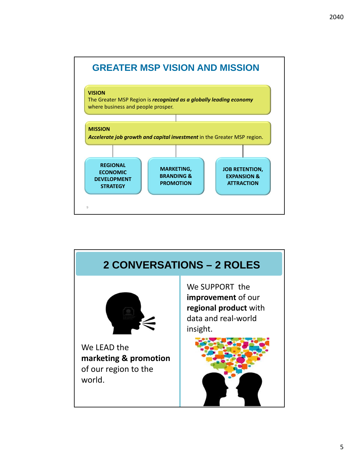



9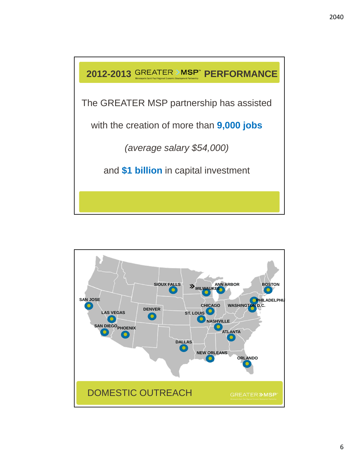

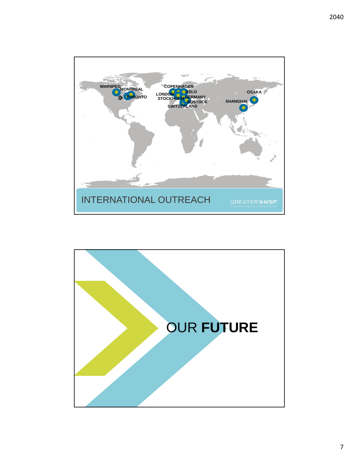

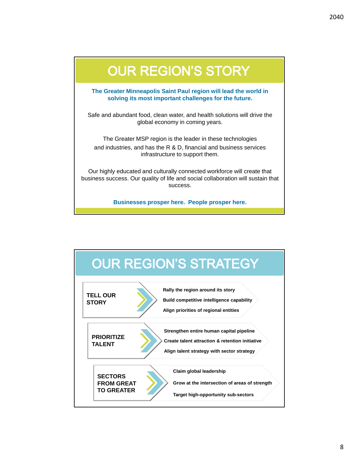

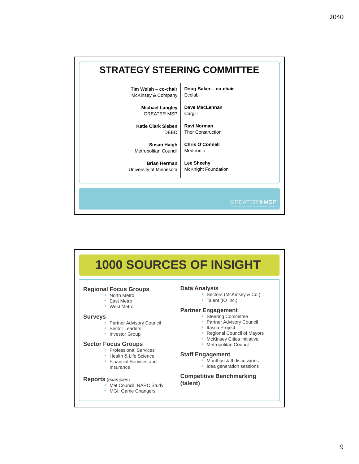## **STRATEGY STEERING COMMITTEE**

**Tim Welsh – co-chair** McKinsey & Company **Doug Baker – co-chair** Ecolab

> **Michael Langley**  GREATER MSP

**Katie Clark Sieben** DEED

**Susan Haigh** Metropolitan Council

**Brian Herman**  University of Minnesota **Dave MacLennan**  Cargill

**Ravi Norman**  Thor Construction

**Chris O'Connell** Medtronic

**Lee Sheehy**  McKnight Foundation

**GREATER >MSP** 

## **1000 SOURCES OF INSIGHT Regional Focus Groups**  • North Metro • East Metro • West Metro **Surveys** Partner Advisory Council Sector Leaders • Investor Group **Sector Focus Groups** • Professional Services • Health & Life Science • Financial Services and Insurance **Reports** (*examples*) • Met Council: NARC Study • MGI: Game Changers **Data Analysis**  • Sectors (McKinsey & Co.) • Talent (IO Inc.) **Partner Engagement** • Steering Committee Partner Advisory Council • Itasca Project • Regional Council of Mayors • McKinsey Cities Initiative • Metropolitan Council **Staff Engagement** • Monthly staff discussions • Idea generation sessions **Competitive Benchmarking (talent)**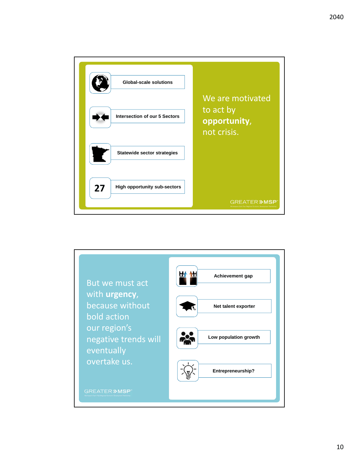

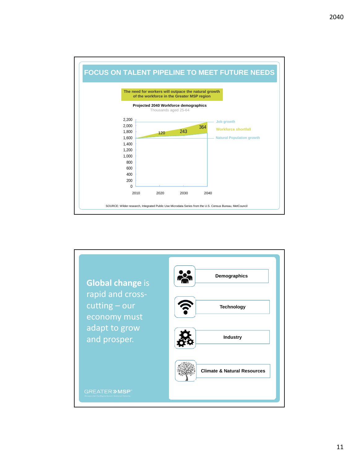